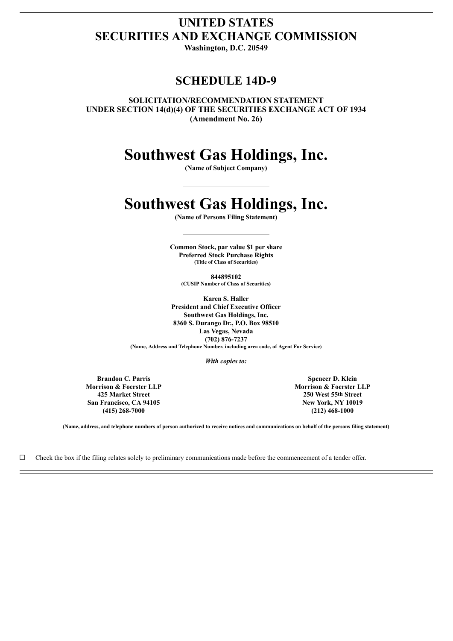## **UNITED STATES SECURITIES AND EXCHANGE COMMISSION**

**Washington, D.C. 20549**

### **SCHEDULE 14D-9**

**SOLICITATION/RECOMMENDATION STATEMENT UNDER SECTION 14(d)(4) OF THE SECURITIES EXCHANGE ACT OF 1934 (Amendment No. 26)**

# **Southwest Gas Holdings, Inc.**

**(Name of Subject Company)**

# **Southwest Gas Holdings, Inc.**

**(Name of Persons Filing Statement)**

**Common Stock, par value \$1 per share Preferred Stock Purchase Rights (Title of Class of Securities)**

**844895102**

**(CUSIP Number of Class of Securities)**

**Karen S. Haller President and Chief Executive Officer Southwest Gas Holdings, Inc. 8360 S. Durango Dr., P.O. Box 98510 Las Vegas, Nevada (702) 876-7237 (Name, Address and Telephone Number, including area code, of Agent For Service)**

*With copies to:*

**Brandon C. Parris Morrison & Foerster LLP 425 Market Street San Francisco, CA 94105 (415) 268-7000**

**Spencer D. Klein Morrison & Foerster LLP 250 West 55th Street New York, NY 10019 (212) 468-1000**

(Name, address, and telephone numbers of person authorized to receive notices and communications on behalf of the persons filing statement)

 $\Box$  Check the box if the filing relates solely to preliminary communications made before the commencement of a tender offer.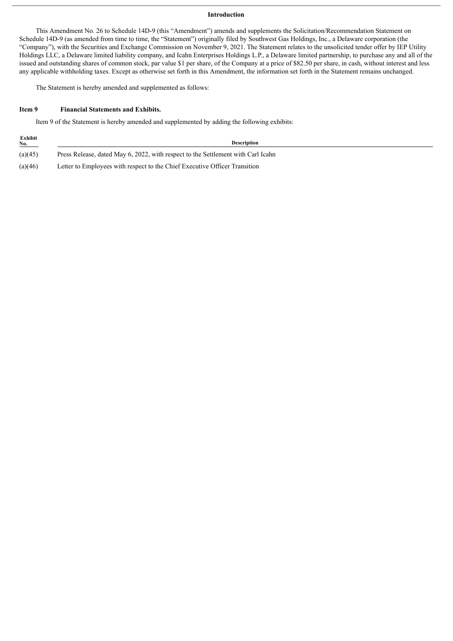#### **Introduction**

This Amendment No. 26 to Schedule 14D-9 (this "Amendment") amends and supplements the Solicitation/Recommendation Statement on Schedule 14D-9 (as amended from time to time, the "Statement") originally filed by Southwest Gas Holdings, Inc., a Delaware corporation (the "Company"), with the Securities and Exchange Commission on November 9, 2021. The Statement relates to the unsolicited tender offer by IEP Utility Holdings LLC, a Delaware limited liability company, and Icahn Enterprises Holdings L.P., a Delaware limited partnership, to purchase any and all of the issued and outstanding shares of common stock, par value \$1 per share, of the Company at a price of \$82.50 per share, in cash, without interest and less any applicable withholding taxes. Except as otherwise set forth in this Amendment, the information set forth in the Statement remains unchanged.

The Statement is hereby amended and supplemented as follows:

#### **Item 9 Financial Statements and Exhibits.**

Item 9 of the Statement is hereby amended and supplemented by adding the following exhibits:

| Exhibit<br>No. | <b>Description</b>                                                               |
|----------------|----------------------------------------------------------------------------------|
| (a)(45)        | Press Release, dated May 6, 2022, with respect to the Settlement with Carl Icahn |
| (a)(46)        | Letter to Employees with respect to the Chief Executive Officer Transition       |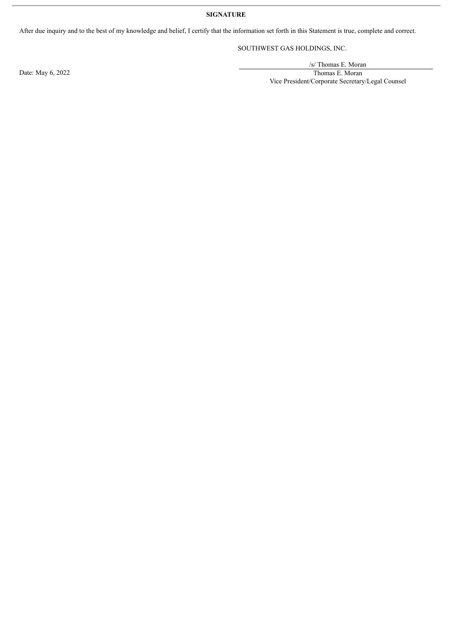#### **SIGNATURE**

After due inquiry and to the best of my knowledge and belief, I certify that the information set forth in this Statement is true, complete and correct.

#### SOUTHWEST GAS HOLDINGS, INC.

/s/ Thomas E. Moran Date: May 6, 2022 Thomas E. Moran Vice President/Corporate Secretary/Legal Counsel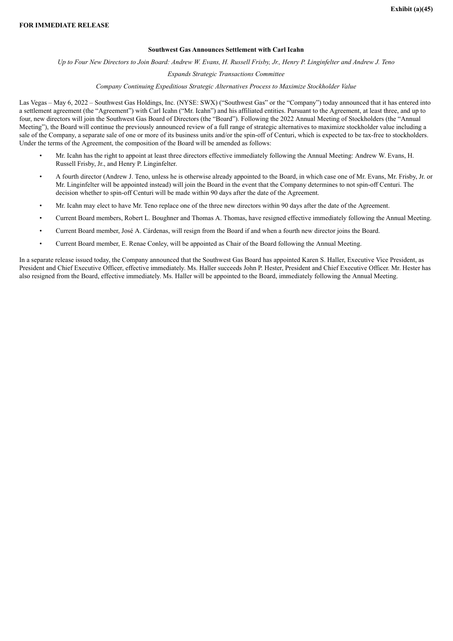#### **Southwest Gas Announces Settlement with Carl Icahn**

Up to Four New Directors to Join Board: Andrew W. Evans, H. Russell Frisby, Jr., Henry P. Linginfelter and Andrew J. Teno

#### *Expands Strategic Transactions Committee*

#### *Company Continuing Expeditious Strategic Alternatives Process to Maximize Stockholder Value*

Las Vegas – May 6, 2022 – Southwest Gas Holdings, Inc. (NYSE: SWX) ("Southwest Gas" or the "Company") today announced that it has entered into a settlement agreement (the "Agreement") with Carl Icahn ("Mr. Icahn") and his affiliated entities. Pursuant to the Agreement, at least three, and up to four, new directors will join the Southwest Gas Board of Directors (the "Board"). Following the 2022 Annual Meeting of Stockholders (the "Annual Meeting"), the Board will continue the previously announced review of a full range of strategic alternatives to maximize stockholder value including a sale of the Company, a separate sale of one or more of its business units and/or the spin-off of Centuri, which is expected to be tax-free to stockholders. Under the terms of the Agreement, the composition of the Board will be amended as follows:

- Mr. Icahn has the right to appoint at least three directors effective immediately following the Annual Meeting: Andrew W. Evans, H. Russell Frisby, Jr., and Henry P. Linginfelter.
- A fourth director (Andrew J. Teno, unless he is otherwise already appointed to the Board, in which case one of Mr. Evans, Mr. Frisby, Jr. or Mr. Linginfelter will be appointed instead) will join the Board in the event that the Company determines to not spin-off Centuri. The decision whether to spin-off Centuri will be made within 90 days after the date of the Agreement.
- Mr. Icahn may elect to have Mr. Teno replace one of the three new directors within 90 days after the date of the Agreement.
- Current Board members, Robert L. Boughner and Thomas A. Thomas, have resigned effective immediately following the Annual Meeting.
- Current Board member, José A. Cárdenas, will resign from the Board if and when a fourth new director joins the Board.
- Current Board member, E. Renae Conley, will be appointed as Chair of the Board following the Annual Meeting.

In a separate release issued today, the Company announced that the Southwest Gas Board has appointed Karen S. Haller, Executive Vice President, as President and Chief Executive Officer, effective immediately. Ms. Haller succeeds John P. Hester, President and Chief Executive Officer. Mr. Hester has also resigned from the Board, effective immediately. Ms. Haller will be appointed to the Board, immediately following the Annual Meeting.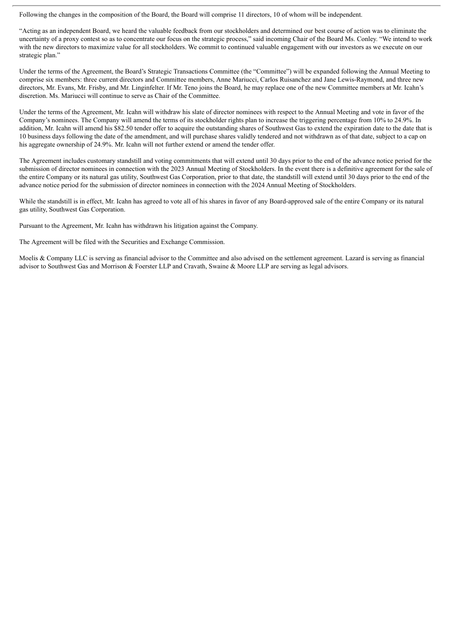Following the changes in the composition of the Board, the Board will comprise 11 directors, 10 of whom will be independent.

"Acting as an independent Board, we heard the valuable feedback from our stockholders and determined our best course of action was to eliminate the uncertainty of a proxy contest so as to concentrate our focus on the strategic process," said incoming Chair of the Board Ms. Conley. "We intend to work with the new directors to maximize value for all stockholders. We commit to continued valuable engagement with our investors as we execute on our strategic plan."

Under the terms of the Agreement, the Board's Strategic Transactions Committee (the "Committee") will be expanded following the Annual Meeting to comprise six members: three current directors and Committee members, Anne Mariucci, Carlos Ruisanchez and Jane Lewis-Raymond, and three new directors, Mr. Evans, Mr. Frisby, and Mr. Linginfelter. If Mr. Teno joins the Board, he may replace one of the new Committee members at Mr. Icahn's discretion. Ms. Mariucci will continue to serve as Chair of the Committee.

Under the terms of the Agreement, Mr. Icahn will withdraw his slate of director nominees with respect to the Annual Meeting and vote in favor of the Company's nominees. The Company will amend the terms of its stockholder rights plan to increase the triggering percentage from 10% to 24.9%. In addition, Mr. Icahn will amend his \$82.50 tender offer to acquire the outstanding shares of Southwest Gas to extend the expiration date to the date that is 10 business days following the date of the amendment, and will purchase shares validly tendered and not withdrawn as of that date, subject to a cap on his aggregate ownership of 24.9%. Mr. Icahn will not further extend or amend the tender offer.

The Agreement includes customary standstill and voting commitments that will extend until 30 days prior to the end of the advance notice period for the submission of director nominees in connection with the 2023 Annual Meeting of Stockholders. In the event there is a definitive agreement for the sale of the entire Company or its natural gas utility, Southwest Gas Corporation, prior to that date, the standstill will extend until 30 days prior to the end of the advance notice period for the submission of director nominees in connection with the 2024 Annual Meeting of Stockholders.

While the standstill is in effect, Mr. Icahn has agreed to vote all of his shares in favor of any Board-approved sale of the entire Company or its natural gas utility, Southwest Gas Corporation.

Pursuant to the Agreement, Mr. Icahn has withdrawn his litigation against the Company.

The Agreement will be filed with the Securities and Exchange Commission.

Moelis & Company LLC is serving as financial advisor to the Committee and also advised on the settlement agreement. Lazard is serving as financial advisor to Southwest Gas and Morrison & Foerster LLP and Cravath, Swaine & Moore LLP are serving as legal advisors.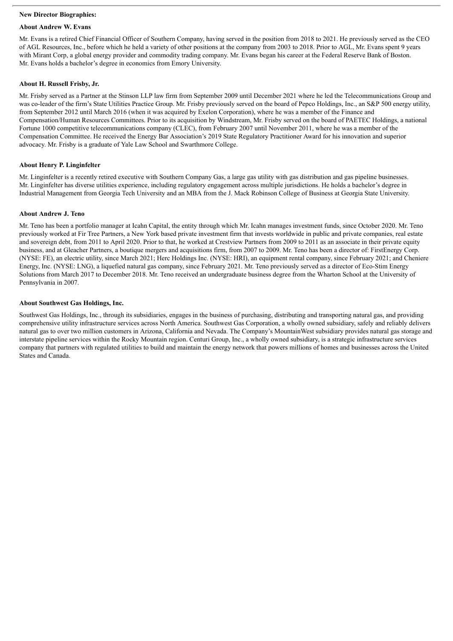#### **New Director Biographies:**

#### **About Andrew W. Evans**

Mr. Evans is a retired Chief Financial Officer of Southern Company, having served in the position from 2018 to 2021. He previously served as the CEO of AGL Resources, Inc., before which he held a variety of other positions at the company from 2003 to 2018. Prior to AGL, Mr. Evans spent 9 years with Mirant Corp, a global energy provider and commodity trading company. Mr. Evans began his career at the Federal Reserve Bank of Boston. Mr. Evans holds a bachelor's degree in economics from Emory University.

#### **About H. Russell Frisby, Jr.**

Mr. Frisby served as a Partner at the Stinson LLP law firm from September 2009 until December 2021 where he led the Telecommunications Group and was co-leader of the firm's State Utilities Practice Group. Mr. Frisby previously served on the board of Pepco Holdings, Inc., an S&P 500 energy utility, from September 2012 until March 2016 (when it was acquired by Exelon Corporation), where he was a member of the Finance and Compensation/Human Resources Committees. Prior to its acquisition by Windstream, Mr. Frisby served on the board of PAETEC Holdings, a national Fortune 1000 competitive telecommunications company (CLEC), from February 2007 until November 2011, where he was a member of the Compensation Committee. He received the Energy Bar Association's 2019 State Regulatory Practitioner Award for his innovation and superior advocacy. Mr. Frisby is a graduate of Yale Law School and Swarthmore College.

#### **About Henry P. Linginfelter**

Mr. Linginfelter is a recently retired executive with Southern Company Gas, a large gas utility with gas distribution and gas pipeline businesses. Mr. Linginfelter has diverse utilities experience, including regulatory engagement across multiple jurisdictions. He holds a bachelor's degree in Industrial Management from Georgia Tech University and an MBA from the J. Mack Robinson College of Business at Georgia State University.

#### **About Andrew J. Teno**

Mr. Teno has been a portfolio manager at Icahn Capital, the entity through which Mr. Icahn manages investment funds, since October 2020. Mr. Teno previously worked at Fir Tree Partners, a New York based private investment firm that invests worldwide in public and private companies, real estate and sovereign debt, from 2011 to April 2020. Prior to that, he worked at Crestview Partners from 2009 to 2011 as an associate in their private equity business, and at Gleacher Partners, a boutique mergers and acquisitions firm, from 2007 to 2009. Mr. Teno has been a director of: FirstEnergy Corp. (NYSE: FE), an electric utility, since March 2021; Herc Holdings Inc. (NYSE: HRI), an equipment rental company, since February 2021; and Cheniere Energy, Inc. (NYSE: LNG), a liquefied natural gas company, since February 2021. Mr. Teno previously served as a director of Eco-Stim Energy Solutions from March 2017 to December 2018. Mr. Teno received an undergraduate business degree from the Wharton School at the University of Pennsylvania in 2007.

#### **About Southwest Gas Holdings, Inc.**

Southwest Gas Holdings, Inc., through its subsidiaries, engages in the business of purchasing, distributing and transporting natural gas, and providing comprehensive utility infrastructure services across North America. Southwest Gas Corporation, a wholly owned subsidiary, safely and reliably delivers natural gas to over two million customers in Arizona, California and Nevada. The Company's MountainWest subsidiary provides natural gas storage and interstate pipeline services within the Rocky Mountain region. Centuri Group, Inc., a wholly owned subsidiary, is a strategic infrastructure services company that partners with regulated utilities to build and maintain the energy network that powers millions of homes and businesses across the United States and Canada.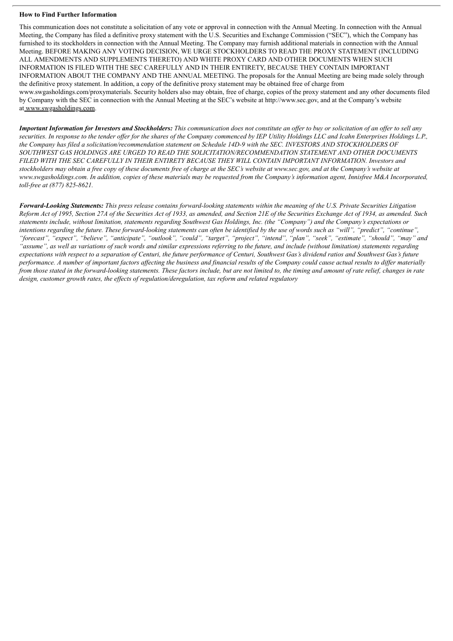#### **How to Find Further Information**

This communication does not constitute a solicitation of any vote or approval in connection with the Annual Meeting. In connection with the Annual Meeting, the Company has filed a definitive proxy statement with the U.S. Securities and Exchange Commission ("SEC"), which the Company has furnished to its stockholders in connection with the Annual Meeting. The Company may furnish additional materials in connection with the Annual Meeting. BEFORE MAKING ANY VOTING DECISION, WE URGE STOCKHOLDERS TO READ THE PROXY STATEMENT (INCLUDING ALL AMENDMENTS AND SUPPLEMENTS THERETO) AND WHITE PROXY CARD AND OTHER DOCUMENTS WHEN SUCH INFORMATION IS FILED WITH THE SEC CAREFULLY AND IN THEIR ENTIRETY, BECAUSE THEY CONTAIN IMPORTANT INFORMATION ABOUT THE COMPANY AND THE ANNUAL MEETING. The proposals for the Annual Meeting are being made solely through the definitive proxy statement. In addition, a copy of the definitive proxy statement may be obtained free of charge from www.swgasholdings.com/proxymaterials. Security holders also may obtain, free of charge, copies of the proxy statement and any other documents filed by Company with the SEC in connection with the Annual Meeting at the SEC's website at http://www.sec.gov, and at the Company's website at www.swgasholdings.com.

Important Information for Investors and Stockholders: This communication does not constitute an offer to buy or solicitation of an offer to sell any securities. In response to the tender offer for the shares of the Company commenced by IEP Utility Holdings LLC and Icahn Enterprises Holdings L.P., the Company has filed a solicitation/recommendation statement on Schedule 14D-9 with the SEC. INVESTORS AND STOCKHOLDERS OF *SOUTHWEST GAS HOLDINGS ARE URGED TO READ THE SOLICITATION/RECOMMENDATION STATEMENT AND OTHER DOCUMENTS FILED WITH THE SEC CAREFULLY IN THEIR ENTIRETY BECAUSE THEY WILL CONTAIN IMPORTANT INFORMATION. Investors and* stockholders may obtain a free copy of these documents free of charge at the SEC's website at www.sec.gov, and at the Company's website at www.swgasholdings.com. In addition, copies of these materials may be requested from the Company's information agent, Innisfree M&A Incorporated, *toll-free at (877) 825-8621.*

Forward-Looking Statements: This press release contains forward-looking statements within the meaning of the U.S. Private Securities Litigation Reform Act of 1995, Section 27A of the Securities Act of 1933, as amended, and Section 21E of the Securities Exchange Act of 1934, as amended. Such statements include, without limitation, statements regarding Southwest Gas Holdings, Inc. (the "Company") and the Company's expectations or intentions regarding the future. These forward-looking statements can often be identified by the use of words such as "will", "predict", "continue", "forecast", "expect", "believe", "anticipate", "outlook", "could", "target", "project", "intend", "plan", "seek", "estimate", "should", "may" and "assume", as well as variations of such words and similar expressions referring to the future, and include (without limitation) statements regarding expectations with respect to a separation of Centuri, the future performance of Centuri, Southwest Gas's dividend ratios and Southwest Gas's future performance. A number of important factors affecting the business and financial results of the Company could cause actual results to differ materially from those stated in the forward-looking statements. These factors include, but are not limited to, the timing and amount of rate relief, changes in rate *design, customer growth rates, the ef ects of regulation/deregulation, tax reform and related regulatory*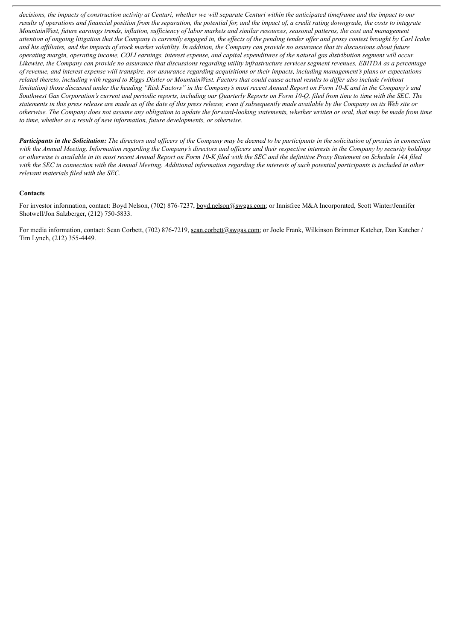decisions, the impacts of construction activity at Centuri, whether we will separate Centuri within the anticipated timeframe and the impact to our results of operations and financial position from the separation, the potential for, and the impact of, a credit rating downgrade, the costs to integrate Mountain West, future earnings trends, inflation, sufficiency of labor markets and similar resources, seasonal patterns, the cost and management attention of ongoing litigation that the Company is currently engaged in, the effects of the pending tender offer and proxy contest brought by Carl Icahn and his affiliates, and the impacts of stock market volatility. In addition, the Company can provide no assurance that its discussions about future operating margin, operating income, COLI earnings, interest expense, and capital expenditures of the natural gas distribution segment will occur. Likewise, the Company can provide no assurance that discussions regarding utility infrastructure services segment revenues, EBITDA as a percentage of revenue, and interest expense will transpire, nor assurance regarding acquisitions or their impacts, including management's plans or expectations related thereto, including with regard to Riggs Distler or MountainWest. Factors that could cause actual results to differ also include (without limitation) those discussed under the heading "Risk Factors" in the Company's most recent Annual Report on Form 10-K and in the Company's and Southwest Gas Corporation's current and periodic reports, including our Quarterly Reports on Form  $10$ -Q, filed from time to time with the SEC. The statements in this press release are made as of the date of this press release, even if subsequently made available by the Company on its Web site or otherwise. The Company does not assume any obligation to update the forward-looking statements, whether written or oral, that may be made from time *to time, whether as a result of new information, future developments, or otherwise.*

Participants in the Solicitation: The directors and officers of the Company may be deemed to be participants in the solicitation of proxies in connection with the Annual Meeting. Information regarding the Company's directors and officers and their respective interests in the Company by security holdings or otherwise is available in its most recent Annual Report on Form 10-K filed with the SEC and the definitive Proxy Statement on Schedule 14A filed with the SEC in connection with the Annual Meeting. Additional information regarding the interests of such potential participants is included in other *relevant materials filed with the SEC.*

#### **Contacts**

For investor information, contact: Boyd Nelson, (702) 876-7237, boyd.nelson@swgas.com; or Innisfree M&A Incorporated, Scott Winter/Jennifer Shotwell/Jon Salzberger, (212) 750-5833.

For media information, contact: Sean Corbett, (702) 876-7219, sean.corbett@swgas.com; or Joele Frank, Wilkinson Brimmer Katcher, Dan Katcher / Tim Lynch, (212) 355-4449.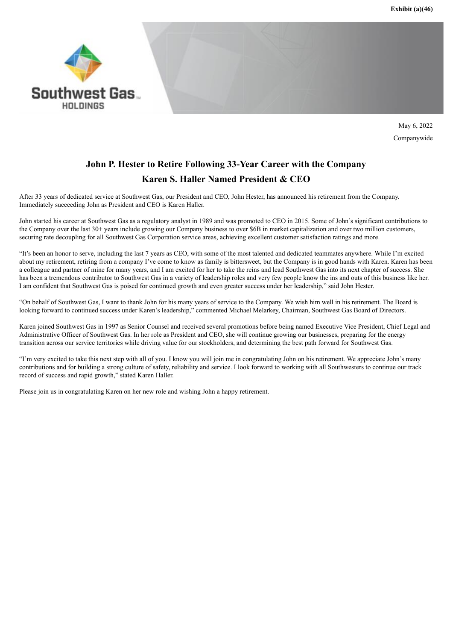

May 6, 2022 Companywide

## **John P. Hester to Retire Following 33-Year Career with the Company Karen S. Haller Named President & CEO**

After 33 years of dedicated service at Southwest Gas, our President and CEO, John Hester, has announced his retirement from the Company. Immediately succeeding John as President and CEO is Karen Haller.

John started his career at Southwest Gas as a regulatory analyst in 1989 and was promoted to CEO in 2015. Some of John's significant contributions to the Company over the last 30+ years include growing our Company business to over \$6B in market capitalization and over two million customers, securing rate decoupling for all Southwest Gas Corporation service areas, achieving excellent customer satisfaction ratings and more.

"It's been an honor to serve, including the last 7 years as CEO, with some of the most talented and dedicated teammates anywhere. While I'm excited about my retirement, retiring from a company I've come to know as family is bittersweet, but the Company is in good hands with Karen. Karen has been a colleague and partner of mine for many years, and I am excited for her to take the reins and lead Southwest Gas into its next chapter of success. She has been a tremendous contributor to Southwest Gas in a variety of leadership roles and very few people know the ins and outs of this business like her. I am confident that Southwest Gas is poised for continued growth and even greater success under her leadership," said John Hester.

"On behalf of Southwest Gas, I want to thank John for his many years of service to the Company. We wish him well in his retirement. The Board is looking forward to continued success under Karen's leadership," commented Michael Melarkey, Chairman, Southwest Gas Board of Directors.

Karen joined Southwest Gas in 1997 as Senior Counsel and received several promotions before being named Executive Vice President, Chief Legal and Administrative Officer of Southwest Gas. In her role as President and CEO, she will continue growing our businesses, preparing for the energy transition across our service territories while driving value for our stockholders, and determining the best path forward for Southwest Gas.

"I'm very excited to take this next step with all of you. I know you will join me in congratulating John on his retirement. We appreciate John's many contributions and for building a strong culture of safety, reliability and service. I look forward to working with all Southwesters to continue our track record of success and rapid growth," stated Karen Haller.

Please join us in congratulating Karen on her new role and wishing John a happy retirement.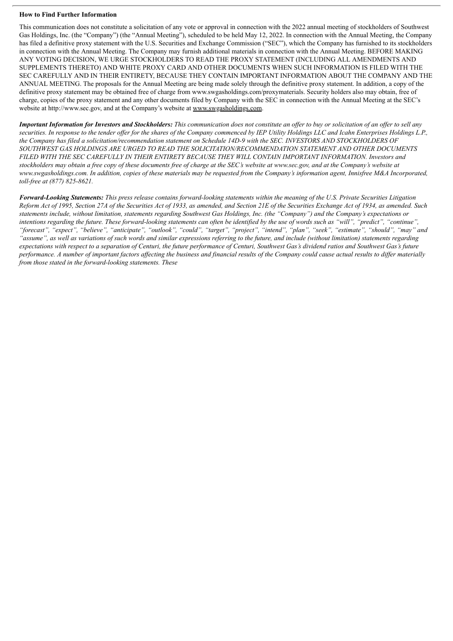#### **How to Find Further Information**

This communication does not constitute a solicitation of any vote or approval in connection with the 2022 annual meeting of stockholders of Southwest Gas Holdings, Inc. (the "Company") (the "Annual Meeting"), scheduled to be held May 12, 2022. In connection with the Annual Meeting, the Company has filed a definitive proxy statement with the U.S. Securities and Exchange Commission ("SEC"), which the Company has furnished to its stockholders in connection with the Annual Meeting. The Company may furnish additional materials in connection with the Annual Meeting. BEFORE MAKING ANY VOTING DECISION, WE URGE STOCKHOLDERS TO READ THE PROXY STATEMENT (INCLUDING ALL AMENDMENTS AND SUPPLEMENTS THERETO) AND WHITE PROXY CARD AND OTHER DOCUMENTS WHEN SUCH INFORMATION IS FILED WITH THE SEC CAREFULLY AND IN THEIR ENTIRETY, BECAUSE THEY CONTAIN IMPORTANT INFORMATION ABOUT THE COMPANY AND THE ANNUAL MEETING. The proposals for the Annual Meeting are being made solely through the definitive proxy statement. In addition, a copy of the definitive proxy statement may be obtained free of charge from www.swgasholdings.com/proxymaterials. Security holders also may obtain, free of charge, copies of the proxy statement and any other documents filed by Company with the SEC in connection with the Annual Meeting at the SEC's website at http://www.sec.gov, and at the Company's website at www.swgasholdings.com.

Important Information for Investors and Stockholders: This communication does not constitute an offer to buy or solicitation of an offer to sell any securities. In response to the tender offer for the shares of the Company commenced by IEP Utility Holdings LLC and Icahn Enterprises Holdings L.P., the Company has filed a solicitation/recommendation statement on Schedule 14D-9 with the SEC. INVESTORS AND STOCKHOLDERS OF *SOUTHWEST GAS HOLDINGS ARE URGED TO READ THE SOLICITATION/RECOMMENDATION STATEMENT AND OTHER DOCUMENTS FILED WITH THE SEC CAREFULLY IN THEIR ENTIRETY BECAUSE THEY WILL CONTAIN IMPORTANT INFORMATION. Investors and* stockholders may obtain a free copy of these documents free of charge at the SEC's website at www.sec.gov, and at the Company's website at www.swgasholdings.com. In addition, copies of these materials may be requested from the Company's information agent, Innisfree M&A Incorporated, *toll-free at (877) 825-8621.*

Forward-Looking Statements: This press release contains forward-looking statements within the meaning of the U.S. Private Securities Litigation Reform Act of 1995, Section 27A of the Securities Act of 1933, as amended, and Section 21E of the Securities Exchange Act of 1934, as amended. Such statements include, without limitation, statements regarding Southwest Gas Holdings, Inc. (the "Company") and the Company's expectations or intentions regarding the future. These forward-looking statements can often be identified by the use of words such as "will", "predict", "continue", "forecast", "expect", "believe", "anticipate", "outlook", "could", "target", "project", "intend", "plan", "seek", "estimate", "should", "may" and "assume", as well as variations of such words and similar expressions referring to the future, and include (without limitation) statements regarding expectations with respect to a separation of Centuri, the future performance of Centuri, Southwest Gas's dividend ratios and Southwest Gas's future performance. A number of important factors affecting the business and financial results of the Company could cause actual results to differ materially *from those stated in the forward-looking statements. These*